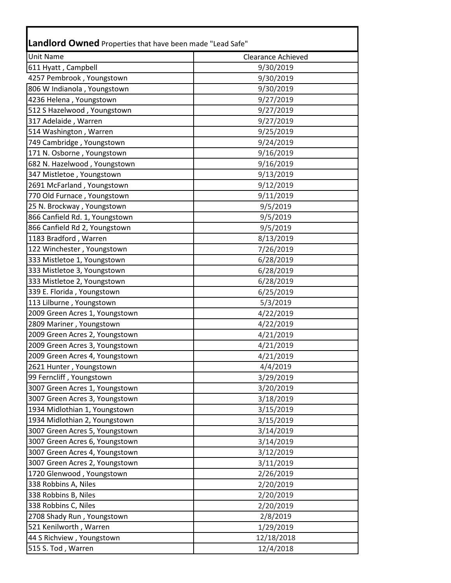| <b>Unit Name</b>               | <b>Clearance Achieved</b> |
|--------------------------------|---------------------------|
| 611 Hyatt, Campbell            | 9/30/2019                 |
| 4257 Pembrook, Youngstown      | 9/30/2019                 |
| 806 W Indianola, Youngstown    | 9/30/2019                 |
| 4236 Helena, Youngstown        | 9/27/2019                 |
| 512 S Hazelwood, Youngstown    | 9/27/2019                 |
| 317 Adelaide, Warren           | 9/27/2019                 |
| 514 Washington, Warren         | 9/25/2019                 |
| 749 Cambridge, Youngstown      | 9/24/2019                 |
| 171 N. Osborne, Youngstown     | 9/16/2019                 |
| 682 N. Hazelwood, Youngstown   | 9/16/2019                 |
| 347 Mistletoe, Youngstown      | 9/13/2019                 |
| 2691 McFarland, Youngstown     | 9/12/2019                 |
| 770 Old Furnace, Youngstown    | 9/11/2019                 |
| 25 N. Brockway, Youngstown     | 9/5/2019                  |
| 866 Canfield Rd. 1, Youngstown | 9/5/2019                  |
| 866 Canfield Rd 2, Youngstown  | 9/5/2019                  |
| 1183 Bradford, Warren          | 8/13/2019                 |
| 122 Winchester, Youngstown     | 7/26/2019                 |
| 333 Mistletoe 1, Youngstown    | 6/28/2019                 |
| 333 Mistletoe 3, Youngstown    | 6/28/2019                 |
| 333 Mistletoe 2, Youngstown    | 6/28/2019                 |
| 339 E. Florida, Youngstown     | 6/25/2019                 |
| 113 Lilburne, Youngstown       | 5/3/2019                  |
| 2009 Green Acres 1, Youngstown | 4/22/2019                 |
| 2809 Mariner, Youngstown       | 4/22/2019                 |
| 2009 Green Acres 2, Youngstown | 4/21/2019                 |
| 2009 Green Acres 3, Youngstown | 4/21/2019                 |
| 2009 Green Acres 4, Youngstown | 4/21/2019                 |
| 2621 Hunter, Youngstown        | 4/4/2019                  |
| 99 Ferncliff, Youngstown       | 3/29/2019                 |
| 3007 Green Acres 1, Youngstown | 3/20/2019                 |
| 3007 Green Acres 3, Youngstown | 3/18/2019                 |
| 1934 Midlothian 1, Youngstown  | 3/15/2019                 |
| 1934 Midlothian 2, Youngstown  | 3/15/2019                 |
| 3007 Green Acres 5, Youngstown | 3/14/2019                 |
| 3007 Green Acres 6, Youngstown | 3/14/2019                 |
| 3007 Green Acres 4, Youngstown | 3/12/2019                 |
| 3007 Green Acres 2, Youngstown | 3/11/2019                 |
| 1720 Glenwood, Youngstown      | 2/26/2019                 |
| 338 Robbins A, Niles           | 2/20/2019                 |
| 338 Robbins B, Niles           | 2/20/2019                 |
| 338 Robbins C, Niles           | 2/20/2019                 |
| 2708 Shady Run, Youngstown     | 2/8/2019                  |
| 521 Kenilworth, Warren         | 1/29/2019                 |
| 44 S Richview, Youngstown      | 12/18/2018                |
| 515 S. Tod, Warren             | 12/4/2018                 |

Г

Ŧ.